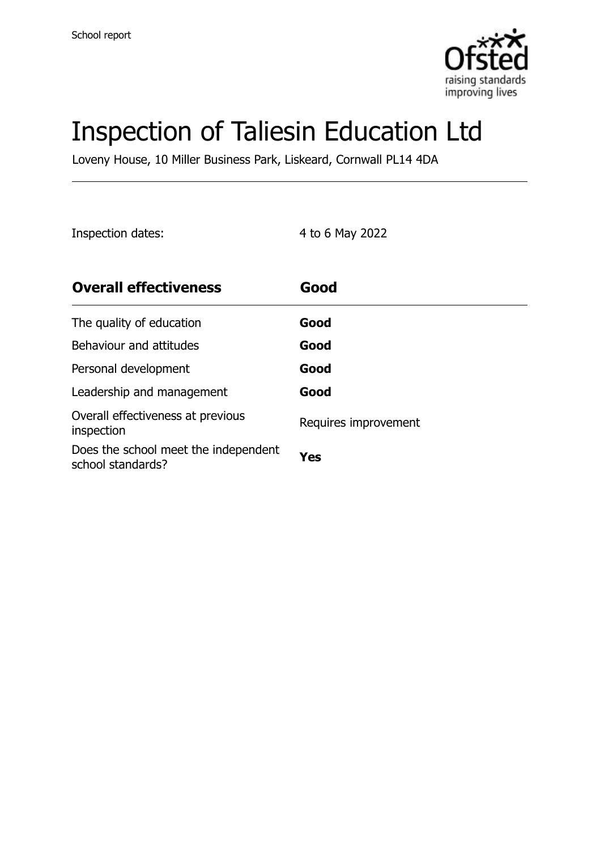

# Inspection of Taliesin Education Ltd

Loveny House, 10 Miller Business Park, Liskeard, Cornwall PL14 4DA

Inspection dates: 4 to 6 May 2022

| <b>Overall effectiveness</b>                              | Good                 |
|-----------------------------------------------------------|----------------------|
| The quality of education                                  | Good                 |
| Behaviour and attitudes                                   | Good                 |
| Personal development                                      | Good                 |
| Leadership and management                                 | Good                 |
| Overall effectiveness at previous<br>inspection           | Requires improvement |
| Does the school meet the independent<br>school standards? | Yes                  |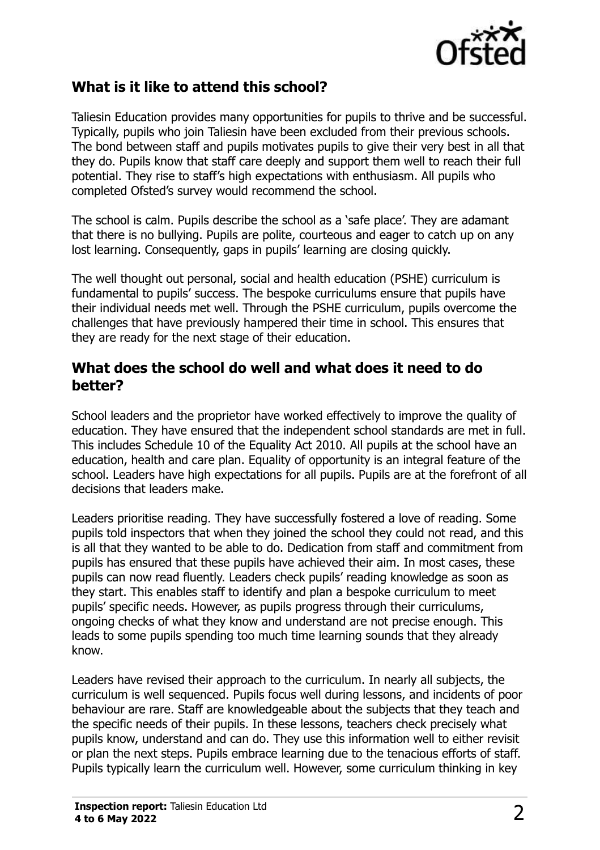

#### **What is it like to attend this school?**

Taliesin Education provides many opportunities for pupils to thrive and be successful. Typically, pupils who join Taliesin have been excluded from their previous schools. The bond between staff and pupils motivates pupils to give their very best in all that they do. Pupils know that staff care deeply and support them well to reach their full potential. They rise to staff's high expectations with enthusiasm. All pupils who completed Ofsted's survey would recommend the school.

The school is calm. Pupils describe the school as a 'safe place'. They are adamant that there is no bullying. Pupils are polite, courteous and eager to catch up on any lost learning. Consequently, gaps in pupils' learning are closing quickly.

The well thought out personal, social and health education (PSHE) curriculum is fundamental to pupils' success. The bespoke curriculums ensure that pupils have their individual needs met well. Through the PSHE curriculum, pupils overcome the challenges that have previously hampered their time in school. This ensures that they are ready for the next stage of their education.

#### **What does the school do well and what does it need to do better?**

School leaders and the proprietor have worked effectively to improve the quality of education. They have ensured that the independent school standards are met in full. This includes Schedule 10 of the Equality Act 2010. All pupils at the school have an education, health and care plan. Equality of opportunity is an integral feature of the school. Leaders have high expectations for all pupils. Pupils are at the forefront of all decisions that leaders make.

Leaders prioritise reading. They have successfully fostered a love of reading. Some pupils told inspectors that when they joined the school they could not read, and this is all that they wanted to be able to do. Dedication from staff and commitment from pupils has ensured that these pupils have achieved their aim. In most cases, these pupils can now read fluently. Leaders check pupils' reading knowledge as soon as they start. This enables staff to identify and plan a bespoke curriculum to meet pupils' specific needs. However, as pupils progress through their curriculums, ongoing checks of what they know and understand are not precise enough. This leads to some pupils spending too much time learning sounds that they already know.

Leaders have revised their approach to the curriculum. In nearly all subjects, the curriculum is well sequenced. Pupils focus well during lessons, and incidents of poor behaviour are rare. Staff are knowledgeable about the subjects that they teach and the specific needs of their pupils. In these lessons, teachers check precisely what pupils know, understand and can do. They use this information well to either revisit or plan the next steps. Pupils embrace learning due to the tenacious efforts of staff. Pupils typically learn the curriculum well. However, some curriculum thinking in key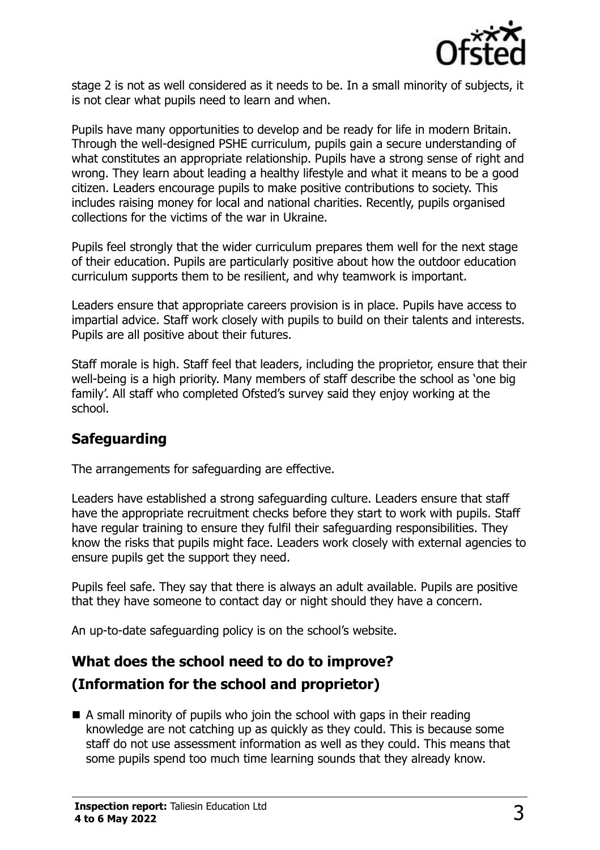

stage 2 is not as well considered as it needs to be. In a small minority of subjects, it is not clear what pupils need to learn and when.

Pupils have many opportunities to develop and be ready for life in modern Britain. Through the well-designed PSHE curriculum, pupils gain a secure understanding of what constitutes an appropriate relationship. Pupils have a strong sense of right and wrong. They learn about leading a healthy lifestyle and what it means to be a good citizen. Leaders encourage pupils to make positive contributions to society. This includes raising money for local and national charities. Recently, pupils organised collections for the victims of the war in Ukraine.

Pupils feel strongly that the wider curriculum prepares them well for the next stage of their education. Pupils are particularly positive about how the outdoor education curriculum supports them to be resilient, and why teamwork is important.

Leaders ensure that appropriate careers provision is in place. Pupils have access to impartial advice. Staff work closely with pupils to build on their talents and interests. Pupils are all positive about their futures.

Staff morale is high. Staff feel that leaders, including the proprietor, ensure that their well-being is a high priority. Many members of staff describe the school as 'one big family'. All staff who completed Ofsted's survey said they enjoy working at the school.

#### **Safeguarding**

The arrangements for safeguarding are effective.

Leaders have established a strong safeguarding culture. Leaders ensure that staff have the appropriate recruitment checks before they start to work with pupils. Staff have regular training to ensure they fulfil their safeguarding responsibilities. They know the risks that pupils might face. Leaders work closely with external agencies to ensure pupils get the support they need.

Pupils feel safe. They say that there is always an adult available. Pupils are positive that they have someone to contact day or night should they have a concern.

An up-to-date safeguarding policy is on the school's website.

#### **What does the school need to do to improve?**

#### **(Information for the school and proprietor)**

 $\blacksquare$  A small minority of pupils who join the school with gaps in their reading knowledge are not catching up as quickly as they could. This is because some staff do not use assessment information as well as they could. This means that some pupils spend too much time learning sounds that they already know.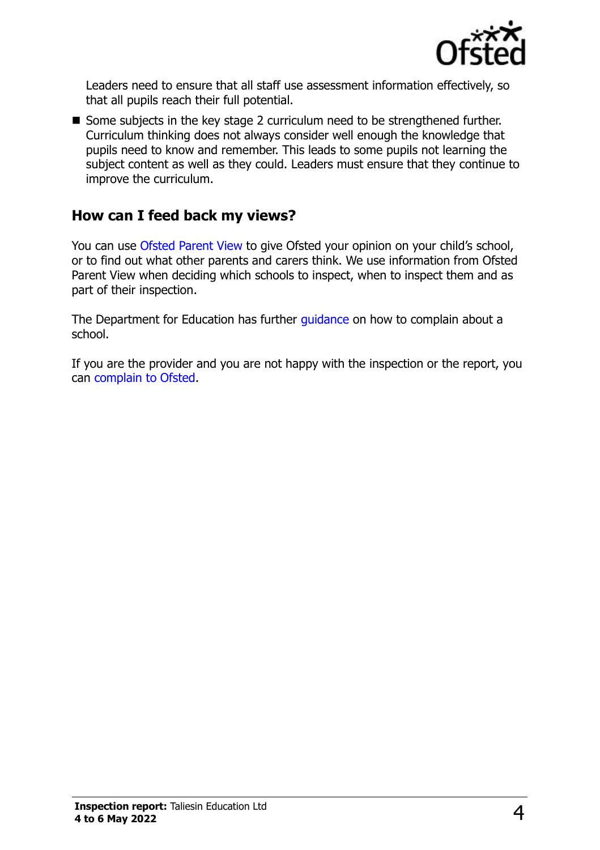

Leaders need to ensure that all staff use assessment information effectively, so that all pupils reach their full potential.

■ Some subjects in the key stage 2 curriculum need to be strengthened further. Curriculum thinking does not always consider well enough the knowledge that pupils need to know and remember. This leads to some pupils not learning the subject content as well as they could. Leaders must ensure that they continue to improve the curriculum.

### **How can I feed back my views?**

You can use [Ofsted Parent View](http://parentview.ofsted.gov.uk/) to give Ofsted your opinion on your child's school, or to find out what other parents and carers think. We use information from Ofsted Parent View when deciding which schools to inspect, when to inspect them and as part of their inspection.

The Department for Education has further quidance on how to complain about a school.

If you are the provider and you are not happy with the inspection or the report, you can [complain to Ofsted.](http://www.gov.uk/complain-ofsted-report)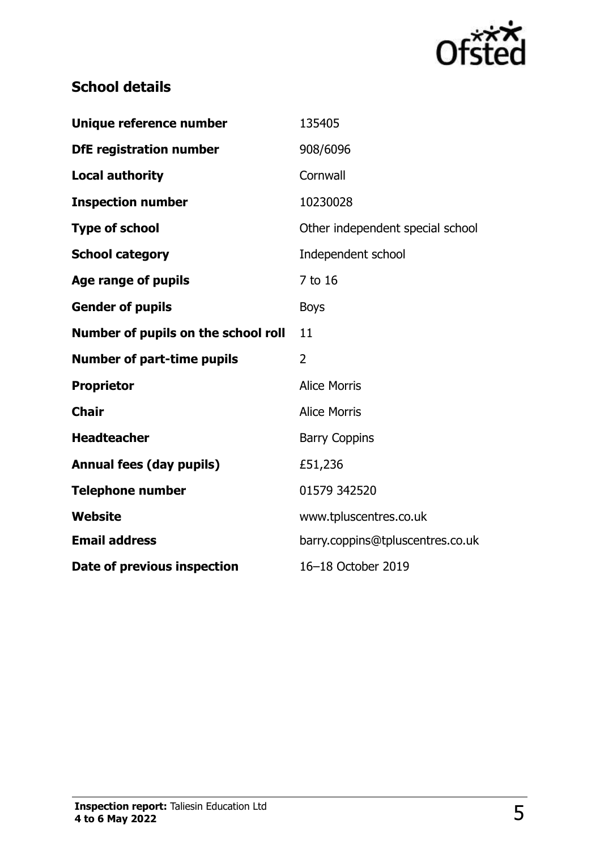

## **School details**

| Unique reference number             | 135405                           |
|-------------------------------------|----------------------------------|
| <b>DfE registration number</b>      | 908/6096                         |
| <b>Local authority</b>              | Cornwall                         |
| <b>Inspection number</b>            | 10230028                         |
| <b>Type of school</b>               | Other independent special school |
| <b>School category</b>              | Independent school               |
| Age range of pupils                 | 7 to 16                          |
| <b>Gender of pupils</b>             | <b>Boys</b>                      |
| Number of pupils on the school roll | 11                               |
| <b>Number of part-time pupils</b>   | $\overline{2}$                   |
| <b>Proprietor</b>                   | <b>Alice Morris</b>              |
| <b>Chair</b>                        | <b>Alice Morris</b>              |
| <b>Headteacher</b>                  | <b>Barry Coppins</b>             |
| <b>Annual fees (day pupils)</b>     | £51,236                          |
| <b>Telephone number</b>             | 01579 342520                     |
| Website                             | www.tpluscentres.co.uk           |
| <b>Email address</b>                | barry.coppins@tpluscentres.co.uk |
| Date of previous inspection         | 16-18 October 2019               |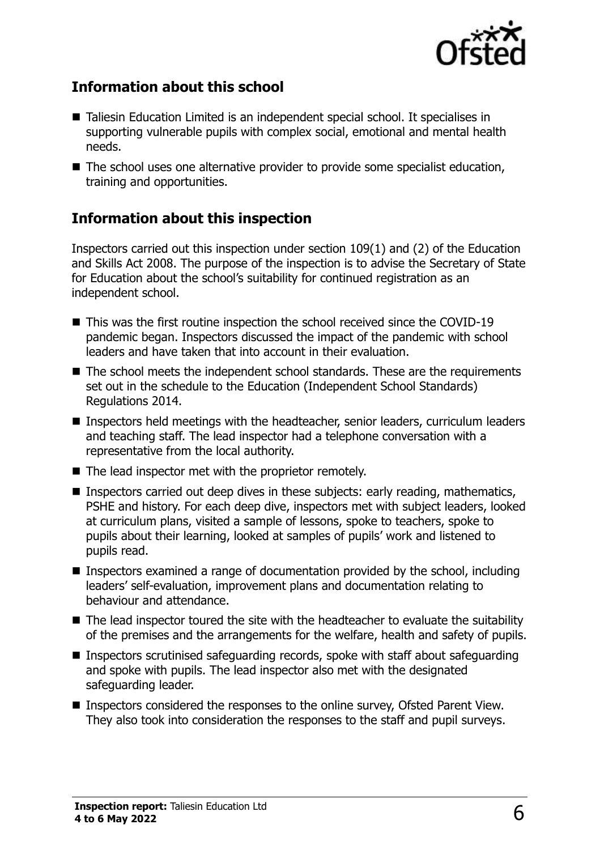

#### **Information about this school**

- Taliesin Education Limited is an independent special school. It specialises in supporting vulnerable pupils with complex social, emotional and mental health needs.
- The school uses one alternative provider to provide some specialist education, training and opportunities.

#### **Information about this inspection**

Inspectors carried out this inspection under section 109(1) and (2) of the Education and Skills Act 2008. The purpose of the inspection is to advise the Secretary of State for Education about the school's suitability for continued registration as an independent school.

- This was the first routine inspection the school received since the COVID-19 pandemic began. Inspectors discussed the impact of the pandemic with school leaders and have taken that into account in their evaluation.
- The school meets the independent school standards. These are the requirements set out in the schedule to the Education (Independent School Standards) Regulations 2014.
- Inspectors held meetings with the headteacher, senior leaders, curriculum leaders and teaching staff. The lead inspector had a telephone conversation with a representative from the local authority.
- The lead inspector met with the proprietor remotely.
- Inspectors carried out deep dives in these subjects: early reading, mathematics, PSHE and history. For each deep dive, inspectors met with subject leaders, looked at curriculum plans, visited a sample of lessons, spoke to teachers, spoke to pupils about their learning, looked at samples of pupils' work and listened to pupils read.
- $\blacksquare$  Inspectors examined a range of documentation provided by the school, including leaders' self-evaluation, improvement plans and documentation relating to behaviour and attendance.
- The lead inspector toured the site with the headteacher to evaluate the suitability of the premises and the arrangements for the welfare, health and safety of pupils.
- Inspectors scrutinised safeguarding records, spoke with staff about safeguarding and spoke with pupils. The lead inspector also met with the designated safeguarding leader.
- Inspectors considered the responses to the online survey, Ofsted Parent View. They also took into consideration the responses to the staff and pupil surveys.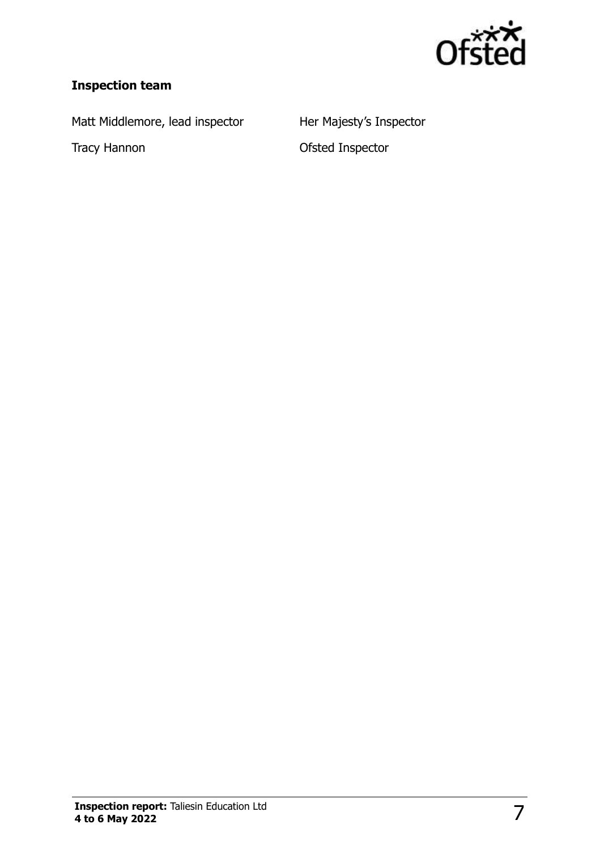

#### **Inspection team**

Matt Middlemore, lead inspector Her Majesty's Inspector

Tracy Hannon **Calculation** Ofsted Inspector